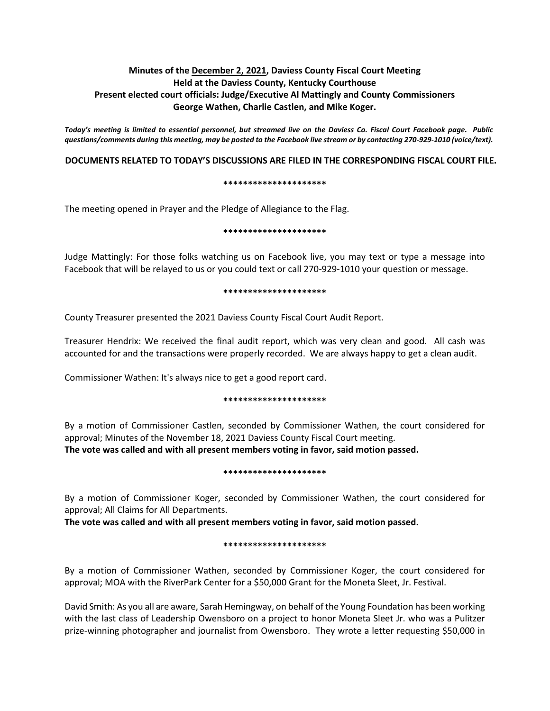# **Minutes of the December 2, 2021, Daviess County Fiscal Court Meeting Held at the Daviess County, Kentucky Courthouse Present elected court officials: Judge/Executive Al Mattingly and County Commissioners George Wathen, Charlie Castlen, and Mike Koger.**

*Today's meeting is limited to essential personnel, but streamed live on the Daviess Co. Fiscal Court Facebook page. Public questions/comments during this meeting, may be posted to the Facebook live stream or by contacting 270-929-1010 (voice/text).*

## **DOCUMENTS RELATED TO TODAY'S DISCUSSIONS ARE FILED IN THE CORRESPONDING FISCAL COURT FILE.**

#### **\*\*\*\*\*\*\*\*\*\*\*\*\*\*\*\*\*\*\*\*\***

The meeting opened in Prayer and the Pledge of Allegiance to the Flag.

#### **\*\*\*\*\*\*\*\*\*\*\*\*\*\*\*\*\*\*\*\*\***

Judge Mattingly: For those folks watching us on Facebook live, you may text or type a message into Facebook that will be relayed to us or you could text or call 270-929-1010 your question or message.

#### **\*\*\*\*\*\*\*\*\*\*\*\*\*\*\*\*\*\*\*\*\***

County Treasurer presented the 2021 Daviess County Fiscal Court Audit Report.

Treasurer Hendrix: We received the final audit report, which was very clean and good. All cash was accounted for and the transactions were properly recorded. We are always happy to get a clean audit.

Commissioner Wathen: It's always nice to get a good report card.

#### **\*\*\*\*\*\*\*\*\*\*\*\*\*\*\*\*\*\*\*\*\***

By a motion of Commissioner Castlen, seconded by Commissioner Wathen, the court considered for approval; Minutes of the November 18, 2021 Daviess County Fiscal Court meeting. **The vote was called and with all present members voting in favor, said motion passed.** 

#### **\*\*\*\*\*\*\*\*\*\*\*\*\*\*\*\*\*\*\*\*\***

By a motion of Commissioner Koger, seconded by Commissioner Wathen, the court considered for approval; All Claims for All Departments.

**The vote was called and with all present members voting in favor, said motion passed.** 

## **\*\*\*\*\*\*\*\*\*\*\*\*\*\*\*\*\*\*\*\*\***

By a motion of Commissioner Wathen, seconded by Commissioner Koger, the court considered for approval; MOA with the RiverPark Center for a \$50,000 Grant for the Moneta Sleet, Jr. Festival.

David Smith: As you all are aware, Sarah Hemingway, on behalf of the Young Foundation has been working with the last class of Leadership Owensboro on a project to honor Moneta Sleet Jr. who was a Pulitzer prize-winning photographer and journalist from Owensboro. They wrote a letter requesting \$50,000 in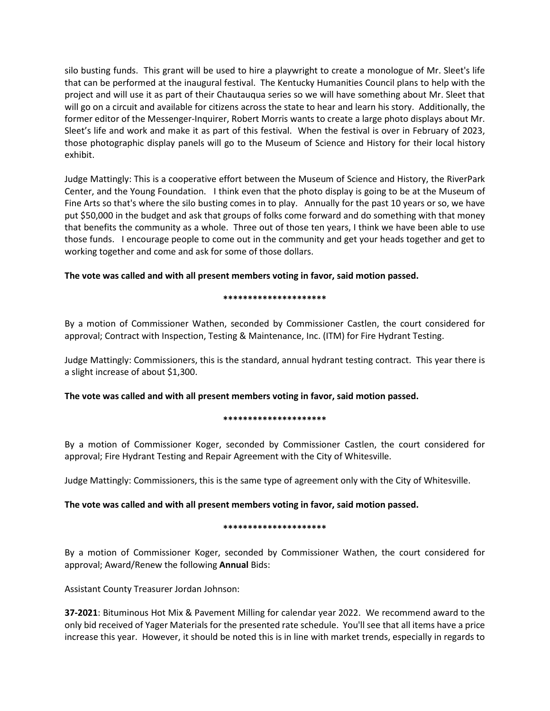silo busting funds. This grant will be used to hire a playwright to create a monologue of Mr. Sleet's life that can be performed at the inaugural festival. The Kentucky Humanities Council plans to help with the project and will use it as part of their Chautauqua series so we will have something about Mr. Sleet that will go on a circuit and available for citizens across the state to hear and learn his story. Additionally, the former editor of the Messenger-Inquirer, Robert Morris wants to create a large photo displays about Mr. Sleet's life and work and make it as part of this festival. When the festival is over in February of 2023, those photographic display panels will go to the Museum of Science and History for their local history exhibit.

Judge Mattingly: This is a cooperative effort between the Museum of Science and History, the RiverPark Center, and the Young Foundation. I think even that the photo display is going to be at the Museum of Fine Arts so that's where the silo busting comes in to play. Annually for the past 10 years or so, we have put \$50,000 in the budget and ask that groups of folks come forward and do something with that money that benefits the community as a whole. Three out of those ten years, I think we have been able to use those funds. I encourage people to come out in the community and get your heads together and get to working together and come and ask for some of those dollars.

# **The vote was called and with all present members voting in favor, said motion passed.**

### **\*\*\*\*\*\*\*\*\*\*\*\*\*\*\*\*\*\*\*\*\***

By a motion of Commissioner Wathen, seconded by Commissioner Castlen, the court considered for approval; Contract with Inspection, Testing & Maintenance, Inc. (ITM) for Fire Hydrant Testing.

Judge Mattingly: Commissioners, this is the standard, annual hydrant testing contract. This year there is a slight increase of about \$1,300.

**The vote was called and with all present members voting in favor, said motion passed.**

## **\*\*\*\*\*\*\*\*\*\*\*\*\*\*\*\*\*\*\*\*\***

By a motion of Commissioner Koger, seconded by Commissioner Castlen, the court considered for approval; Fire Hydrant Testing and Repair Agreement with the City of Whitesville.

Judge Mattingly: Commissioners, this is the same type of agreement only with the City of Whitesville.

## **The vote was called and with all present members voting in favor, said motion passed.**

## **\*\*\*\*\*\*\*\*\*\*\*\*\*\*\*\*\*\*\*\*\***

By a motion of Commissioner Koger, seconded by Commissioner Wathen, the court considered for approval; Award/Renew the following **Annual** Bids:

Assistant County Treasurer Jordan Johnson:

**37-2021**: Bituminous Hot Mix & Pavement Milling for calendar year 2022. We recommend award to the only bid received of Yager Materials for the presented rate schedule. You'll see that all items have a price increase this year. However, it should be noted this is in line with market trends, especially in regards to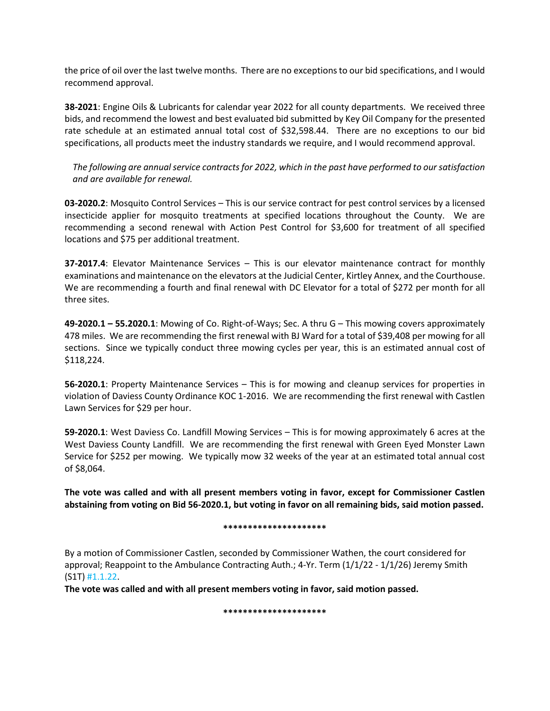the price of oil over the last twelve months. There are no exceptions to our bid specifications, and I would recommend approval.

**38-2021**: Engine Oils & Lubricants for calendar year 2022 for all county departments. We received three bids, and recommend the lowest and best evaluated bid submitted by Key Oil Company for the presented rate schedule at an estimated annual total cost of \$32,598.44. There are no exceptions to our bid specifications, all products meet the industry standards we require, and I would recommend approval.

*The following are annual service contracts for 2022, which in the past have performed to our satisfaction and are available for renewal.*

**03-2020.2**: Mosquito Control Services – This is our service contract for pest control services by a licensed insecticide applier for mosquito treatments at specified locations throughout the County. We are recommending a second renewal with Action Pest Control for \$3,600 for treatment of all specified locations and \$75 per additional treatment.

**37-2017.4**: Elevator Maintenance Services – This is our elevator maintenance contract for monthly examinations and maintenance on the elevators at the Judicial Center, Kirtley Annex, and the Courthouse. We are recommending a fourth and final renewal with DC Elevator for a total of \$272 per month for all three sites.

**49-2020.1 – 55.2020.1**: Mowing of Co. Right-of-Ways; Sec. A thru G – This mowing covers approximately 478 miles. We are recommending the first renewal with BJ Ward for a total of \$39,408 per mowing for all sections. Since we typically conduct three mowing cycles per year, this is an estimated annual cost of \$118,224.

**56-2020.1**: Property Maintenance Services – This is for mowing and cleanup services for properties in violation of Daviess County Ordinance KOC 1-2016. We are recommending the first renewal with Castlen Lawn Services for \$29 per hour.

**59-2020.1**: West Daviess Co. Landfill Mowing Services – This is for mowing approximately 6 acres at the West Daviess County Landfill. We are recommending the first renewal with Green Eyed Monster Lawn Service for \$252 per mowing. We typically mow 32 weeks of the year at an estimated total annual cost of \$8,064.

**The vote was called and with all present members voting in favor, except for Commissioner Castlen abstaining from voting on Bid 56-2020.1, but voting in favor on all remaining bids, said motion passed.**

#### **\*\*\*\*\*\*\*\*\*\*\*\*\*\*\*\*\*\*\*\*\***

By a motion of Commissioner Castlen, seconded by Commissioner Wathen, the court considered for approval; Reappoint to the Ambulance Contracting Auth.; 4-Yr. Term (1/1/22 - 1/1/26) Jeremy Smith (S1T) #1.1.22.

**The vote was called and with all present members voting in favor, said motion passed.**

**\*\*\*\*\*\*\*\*\*\*\*\*\*\*\*\*\*\*\*\*\***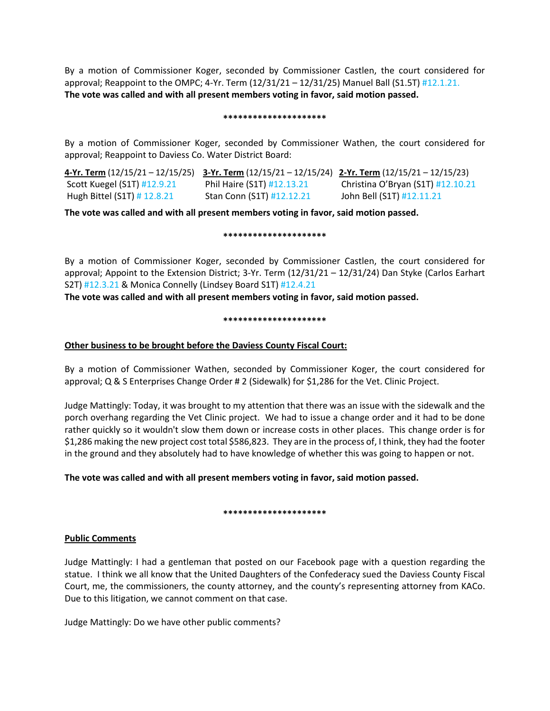By a motion of Commissioner Koger, seconded by Commissioner Castlen, the court considered for approval; Reappoint to the OMPC; 4-Yr. Term  $(12/31/21 - 12/31/25)$  Manuel Ball  $(51.5T)$  #12.1.21. **The vote was called and with all present members voting in favor, said motion passed.**

### **\*\*\*\*\*\*\*\*\*\*\*\*\*\*\*\*\*\*\*\*\***

By a motion of Commissioner Koger, seconded by Commissioner Wathen, the court considered for approval; Reappoint to Daviess Co. Water District Board:

| 4-Yr. Term (12/15/21 - 12/15/25) 3-Yr. Term (12/15/21 - 12/15/24) 2-Yr. Term (12/15/21 - 12/15/23) |                            |                                   |
|----------------------------------------------------------------------------------------------------|----------------------------|-----------------------------------|
| Scott Kuegel (S1T) #12.9.21                                                                        | Phil Haire (S1T) #12.13.21 | Christina O'Bryan (S1T) #12.10.21 |
| Hugh Bittel (S1T) # 12.8.21                                                                        | Stan Conn (S1T) #12.12.21  | John Bell (S1T) #12.11.21         |

**The vote was called and with all present members voting in favor, said motion passed.**

### **\*\*\*\*\*\*\*\*\*\*\*\*\*\*\*\*\*\*\*\*\***

By a motion of Commissioner Koger, seconded by Commissioner Castlen, the court considered for approval; Appoint to the Extension District; 3-Yr. Term (12/31/21 – 12/31/24) Dan Styke (Carlos Earhart S2T) #12.3.21 & Monica Connelly (Lindsey Board S1T) #12.4.21

**The vote was called and with all present members voting in favor, said motion passed.**

### **\*\*\*\*\*\*\*\*\*\*\*\*\*\*\*\*\*\*\*\*\***

# **Other business to be brought before the Daviess County Fiscal Court:**

By a motion of Commissioner Wathen, seconded by Commissioner Koger, the court considered for approval; Q & S Enterprises Change Order # 2 (Sidewalk) for \$1,286 for the Vet. Clinic Project.

Judge Mattingly: Today, it was brought to my attention that there was an issue with the sidewalk and the porch overhang regarding the Vet Clinic project. We had to issue a change order and it had to be done rather quickly so it wouldn't slow them down or increase costs in other places. This change order is for \$1,286 making the new project cost total \$586,823. They are in the process of, I think, they had the footer in the ground and they absolutely had to have knowledge of whether this was going to happen or not.

# **The vote was called and with all present members voting in favor, said motion passed.**

## **\*\*\*\*\*\*\*\*\*\*\*\*\*\*\*\*\*\*\*\*\***

# **Public Comments**

Judge Mattingly: I had a gentleman that posted on our Facebook page with a question regarding the statue. I think we all know that the United Daughters of the Confederacy sued the Daviess County Fiscal Court, me, the commissioners, the county attorney, and the county's representing attorney from KACo. Due to this litigation, we cannot comment on that case.

Judge Mattingly: Do we have other public comments?